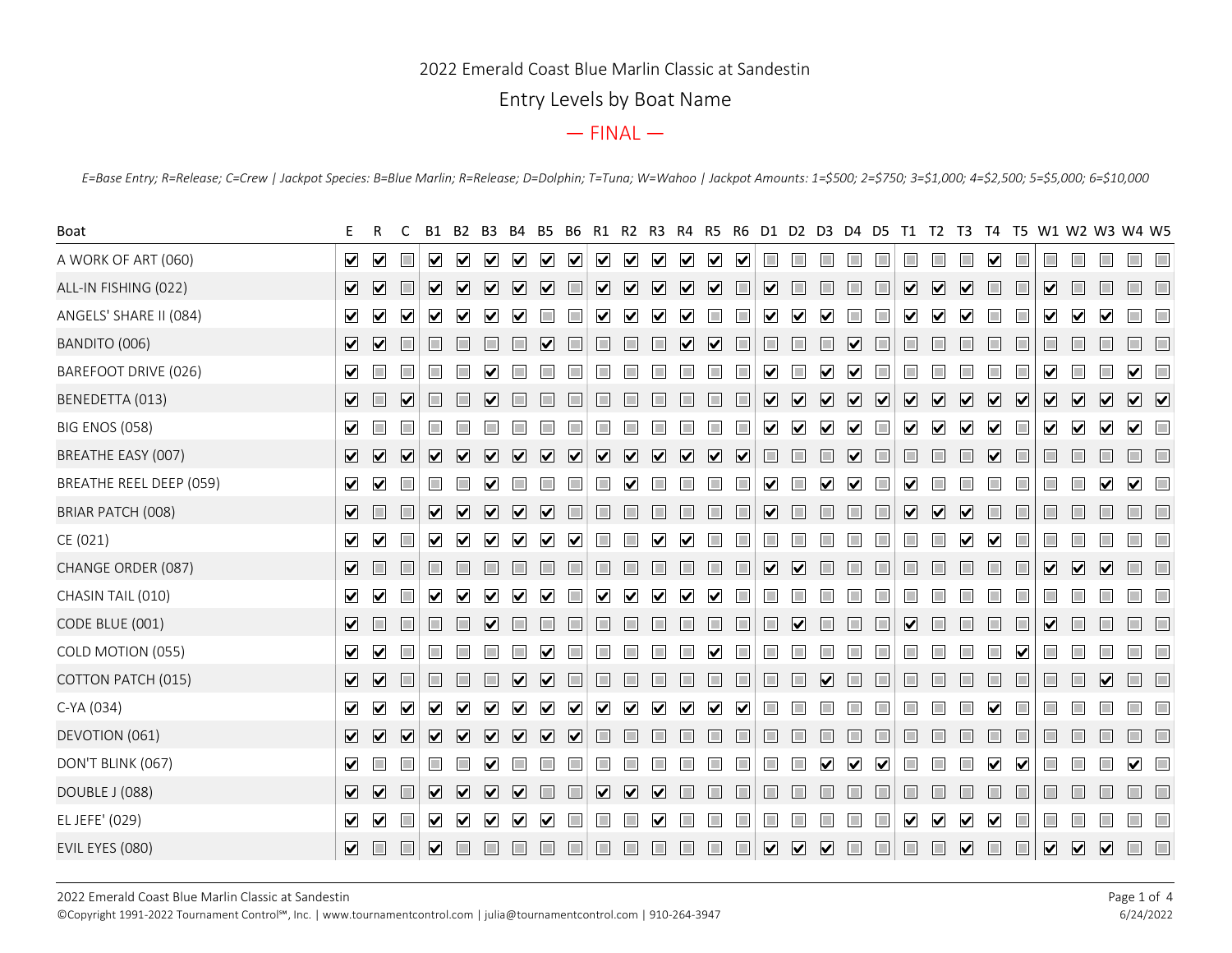## 2022 Emerald Coast Blue Marlin Classic at Sandestin

# Entry Levels by Boat Name

|                                                                                                                                                                                          | Entry Levels by Boat Name                                                                                                                                                                                                                                                                                                                                                                                                 |                                                                                                                                        |  |  |
|------------------------------------------------------------------------------------------------------------------------------------------------------------------------------------------|---------------------------------------------------------------------------------------------------------------------------------------------------------------------------------------------------------------------------------------------------------------------------------------------------------------------------------------------------------------------------------------------------------------------------|----------------------------------------------------------------------------------------------------------------------------------------|--|--|
|                                                                                                                                                                                          | $-$ FINAL $-$                                                                                                                                                                                                                                                                                                                                                                                                             |                                                                                                                                        |  |  |
| E=Base Entry; R=Release; C=Crew   Jackpot Species: B=Blue Marlin; R=Release; D=Dolphin; T=Tuna; W=Wahoo   Jackpot Amounts: 1=\$500; 2=\$750; 3=\$1,000; 4=\$2,500; 5=\$5,000; 6=\$10,000 |                                                                                                                                                                                                                                                                                                                                                                                                                           |                                                                                                                                        |  |  |
| Boat                                                                                                                                                                                     | R4<br>- R.S<br>- R6<br>D1 D2 D3 D4 D5<br>R1                                                                                                                                                                                                                                                                                                                                                                               | - T5 - W1 - W2 - W3 - W4 - W5<br>T1 T2<br>T3 T4                                                                                        |  |  |
| A WORK OF ART (060)                                                                                                                                                                      | $\triangledown$<br>$\overline{\mathbf{v}}$<br>$\sim$<br>$\vee$ $\vee$<br>$\overline{\mathbf{v}}$<br>$\sqrt{ }$<br>$\vert\blacktriangledown\vert$<br>$\overline{\mathbf{v}}$<br>$\overline{\mathbf{v}}$<br>$\overline{\mathbf{v}}$<br>$\blacktriangledown$<br>$\overline{\mathbf{v}}$                                                                                                                                      | n.<br>П<br>$\blacktriangledown$<br>$\Box$<br>$\Box$<br>$\Box$<br>m<br>m                                                                |  |  |
| ALL-IN FISHING (022)                                                                                                                                                                     | $\Box$<br>$\overline{\mathbf{v}}$<br>$\boxed{\mathbf{v}}$<br>$\overline{\mathbf{v}}$<br>$\boxed{\mathbf{v}}$<br>$\overline{\mathbf{v}}$<br>$\boxed{\mathbf{v}}$<br>$\overline{\mathbf{v}}$<br>$\overline{\mathbf{v}}$<br>$\overline{\mathbf{v}}$<br>$\triangledown$ $\triangledown$<br>$\Box$<br><b>In</b><br>$\overline{\mathbf{v}}$<br>n.<br>H<br>E                                                                     | $\Box$<br>$\overline{\mathbf{v}}$<br>$\overline{\mathbf{v}}$<br>$\triangledown$<br>☑<br>$\Box$<br>$\Box$<br>n.<br>$\Box$<br>H          |  |  |
| ANGELS' SHARE II (084)                                                                                                                                                                   | $\blacktriangledown$<br>$\vert \mathbf{v} \vert$<br>$\blacktriangleright$<br>$\vert \mathbf{v} \vert$<br>V<br>$\mathbf v$<br>$\blacktriangledown$<br>$\blacktriangleright$<br>M                                                                                                                                                                                                                                           | ☑<br>$\overline{\mathbf{v}}$<br>$\blacktriangledown$<br>$\Box$<br>M<br>$\mathbf v$                                                     |  |  |
| BANDITO (006)                                                                                                                                                                            | 7 2<br>$\overline{\mathbf{v}}$<br>$\blacktriangledown$<br>$\vert \mathbf{v} \vert$<br>$\mathbf v$                                                                                                                                                                                                                                                                                                                         | П<br>m<br>l II                                                                                                                         |  |  |
| BAREFOOT DRIVE (026)                                                                                                                                                                     | $\blacktriangledown$<br>M                                                                                                                                                                                                                                                                                                                                                                                                 | $\blacktriangledown$<br>$\vert\bm{\mathsf{v}}\vert$<br>m.                                                                              |  |  |
| BENEDETTA (013)                                                                                                                                                                          | $\overline{\mathbf{v}}$<br>$\overline{\mathbf{v}}$<br>$\Box$<br>$\overline{\phantom{a}}$<br>$\overline{\mathbf{v}}$<br>$\triangledown$<br>$\vert \mathbf{v} \vert$<br>Ħ                                                                                                                                                                                                                                                   | 000000000000                                                                                                                           |  |  |
| <b>BIG ENOS (058)</b>                                                                                                                                                                    | $\blacktriangledown$<br>$\blacktriangledown$<br>$\blacktriangledown$<br>M<br>M                                                                                                                                                                                                                                                                                                                                            | <b>V V □</b><br>$\Box$<br>$\blacktriangledown$<br>$\triangledown$<br>$\blacktriangledown$<br>$\overline{\mathbf{v}}$<br>7 2            |  |  |
| BREATHE EASY (007)                                                                                                                                                                       | $\sqrt{ }$<br>$\overline{\mathbf{v}}$<br>$\boxed{\mathbf{v}}$<br>$\overline{\mathbf{v}}$<br>$\overline{\mathbf{v}}$<br>$\overline{\mathbf{v}}$<br>$\overline{\mathsf{v}}$<br>$\Box$<br>$\overline{\mathbf{v}}$<br>$\overline{\mathbf{v}}$<br>$\overline{\mathbf{v}}$<br>$\boxed{\mathbf{v}}$<br>$\overline{\mathbf{v}}$<br>$\overline{\mathbf{v}}$<br>$\boxed{\mathbf{v}}$<br>$\overline{\mathbf{v}}$<br>$\Box$<br>$\Box$ | $\Box$<br>$\Box$<br>$\Box$<br>$\Box$ $\Box$<br>$\Box$<br>$\Box$<br>$\triangledown$<br>$\Box$<br>$\Box$<br><b>ITILI</b>                 |  |  |
| BREATHE REEL DEEP (059)                                                                                                                                                                  | ✔ ✔<br>H<br>$\mathsf{v}$                                                                                                                                                                                                                                                                                                                                                                                                  | $\Box$<br>$\blacktriangledown$<br>$\Box$<br>$\vert \mathbf{v} \vert$<br>$\blacktriangledown$                                           |  |  |
| BRIAR PATCH (008)                                                                                                                                                                        | $\overline{\mathbf{v}}$<br>$\Box$<br>$\Box$<br>⊻<br>⊻<br>$\overline{\mathbf{v}}$<br>☑<br>⊻<br>$\blacktriangledown$                                                                                                                                                                                                                                                                                                        | $\Box$<br>$\overline{\mathbf{v}}$<br>$\Box$<br>$\overline{\mathbf{v}}$<br>$\overline{\mathbf{v}}$<br>$\Box$<br>$\Box$                  |  |  |
| CE (021)                                                                                                                                                                                 |                                                                                                                                                                                                                                                                                                                                                                                                                           |                                                                                                                                        |  |  |
| CHANGE ORDER (087)                                                                                                                                                                       | ☑ □<br>$\Box$                                                                                                                                                                                                                                                                                                                                                                                                             | $\overline{\mathbf{v}}$<br>$\overline{\mathbf{v}}$<br>$\Box$<br>$\overline{\mathbf{v}}$<br>П<br>$\Box$                                 |  |  |
| CHASIN TAIL (010)                                                                                                                                                                        | $\blacktriangledown$<br>$\Box$<br>$\blacktriangledown$<br>$\overline{\mathbf{v}}$<br>$\blacktriangledown$<br>$\overline{\mathsf{v}}$<br>$\blacktriangledown$<br>$\blacktriangledown$<br>$\blacktriangledown$<br>$\Box$<br>$\blacktriangledown$<br>$\blacktriangledown$<br>$\blacktriangledown$<br>$\blacktriangledown$<br>П<br>L<br>E                                                                                     | $\Box$<br>П<br>n<br>$\mathbb{R}^n$<br>П                                                                                                |  |  |
| CODE BLUE (001)                                                                                                                                                                          | $\blacksquare$<br>$\Box$<br>$\Box$<br>$\Box$<br>$\overline{\mathbf{v}}$<br>$\Box$<br>H<br>H<br>$\blacktriangledown$                                                                                                                                                                                                                                                                                                       | $\overline{\mathbf{v}}$<br>$\Box$<br>$ \mathbf{v} $<br>$\Box$<br>$\Box$<br>$\Box$<br>$\Box$<br>$\Box$<br><b>III</b>                    |  |  |
| COLD MOTION (055)                                                                                                                                                                        | $\blacktriangledown$<br>$\overline{\mathbf{v}}$<br>$\Box$<br>$\Box$<br>⊻<br>∨                                                                                                                                                                                                                                                                                                                                             | $\Box$<br>$\overline{\phantom{a}}$<br>П<br>$\overline{\phantom{a}}$<br>$\Box$<br>$\vert\mathbf{v}\vert$<br><b>III</b>                  |  |  |
| COTTON PATCH (015)                                                                                                                                                                       | $\sqrt{ }$<br>$\Box$<br>$\Box$<br>$\Box$<br>$\overline{\mathbf{v}}$<br>$\triangledown$<br>$\Box$<br>$\Box$<br>$\Box$<br>П<br>H<br>H<br>⊻<br>$\overline{\phantom{a}}$<br>$\Box$                                                                                                                                                                                                                                            | $\overline{\mathbf{v}}$<br>$\Box$<br>$\Box$<br>$\Box$<br>$\Box$<br>$\Box$<br>H<br>$\Box$<br>Ħ<br>$\Box$                                |  |  |
| C-YA (034)                                                                                                                                                                               | $\vee$<br>$\blacktriangledown$<br>$\blacktriangledown$<br>$\blacktriangledown$<br>$\blacktriangledown$<br>$\vee$ $\vee$<br>$\boxed{\blacktriangledown}$<br>$\blacktriangledown$<br>$\blacktriangledown$<br>$\blacktriangledown$<br>$\blacktriangledown$<br>$\blacktriangledown$<br>$\blacktriangledown$<br>$\Box$<br>$\Box$                                                                                               | $\overline{\phantom{a}}$<br>П<br>$\Box$<br>⊻<br>$\Box$                                                                                 |  |  |
| DEVOTION (061)                                                                                                                                                                           | $\boxed{\mathbf{v}}$<br>$\begin{array}{c} \nabla \end{array}$<br>VVV<br>$\overline{\mathbf{v}}$<br>$\Box$<br>П                                                                                                                                                                                                                                                                                                            | $\Box$<br>$\Box$<br>m<br>$\Box$<br>$\Box$<br><u> 10</u>                                                                                |  |  |
| DON'T BLINK (067)                                                                                                                                                                        | $\blacktriangledown$<br>$\Box$<br>$\Box$<br>$\Box$<br>$\Box$<br>$\blacktriangledown$<br>IП<br>$\Box$<br>$\vert \mathbf{v} \vert$<br>M                                                                                                                                                                                                                                                                                     | $\Box$<br>$\blacktriangledown$<br>☑<br>$\Box$<br>$\blacktriangledown$<br>$\blacktriangledown$<br>$\Box$<br>$\mathcal{L}_{\mathcal{A}}$ |  |  |
| DOUBLE J (088)                                                                                                                                                                           | $\boxed{\mathbf{v}}$<br>$\sqrt{ }$<br>$\Box$<br>$\overline{\mathbf{v}}$<br>$\overline{\mathbf{v}}$<br>$\overline{\mathbf{v}}$<br>☑<br>$\vert \mathbf{v} \vert$                                                                                                                                                                                                                                                            | $\Box$<br>П<br>$\Box$                                                                                                                  |  |  |
| EL JEFE' (029)                                                                                                                                                                           | $\checkmark$<br>$\Box$<br>$\vee$ $\vee$<br>$\blacktriangledown$<br>$\sqrt{2}$<br>$\Box$<br>$\Box$<br>$\Box$<br>M                                                                                                                                                                                                                                                                                                          | $\Box$<br>$\overline{\phantom{a}}$<br>$\triangledown$<br>$\overline{\mathbf{v}}$<br>☑<br>$\blacktriangledown$                          |  |  |
| EVIL EYES (080)                                                                                                                                                                          | $\boxed{\smash{\vee}}\quad \boxed{\smash{\vee}}\quad \boxed{\smash{\vee}}$<br>$\Box$<br>VOOVO<br>$\Box$<br>$\Box$<br>$\Box$<br>$\Box$<br>$\Box$<br>$\Box$<br>$\Box$<br>$\Box$<br>$\Box$<br>$\Box$                                                                                                                                                                                                                         | $\Box$ $\Box$<br>$\Box$<br>$\overline{\mathbf{v}}$<br>$\Box$                                                                           |  |  |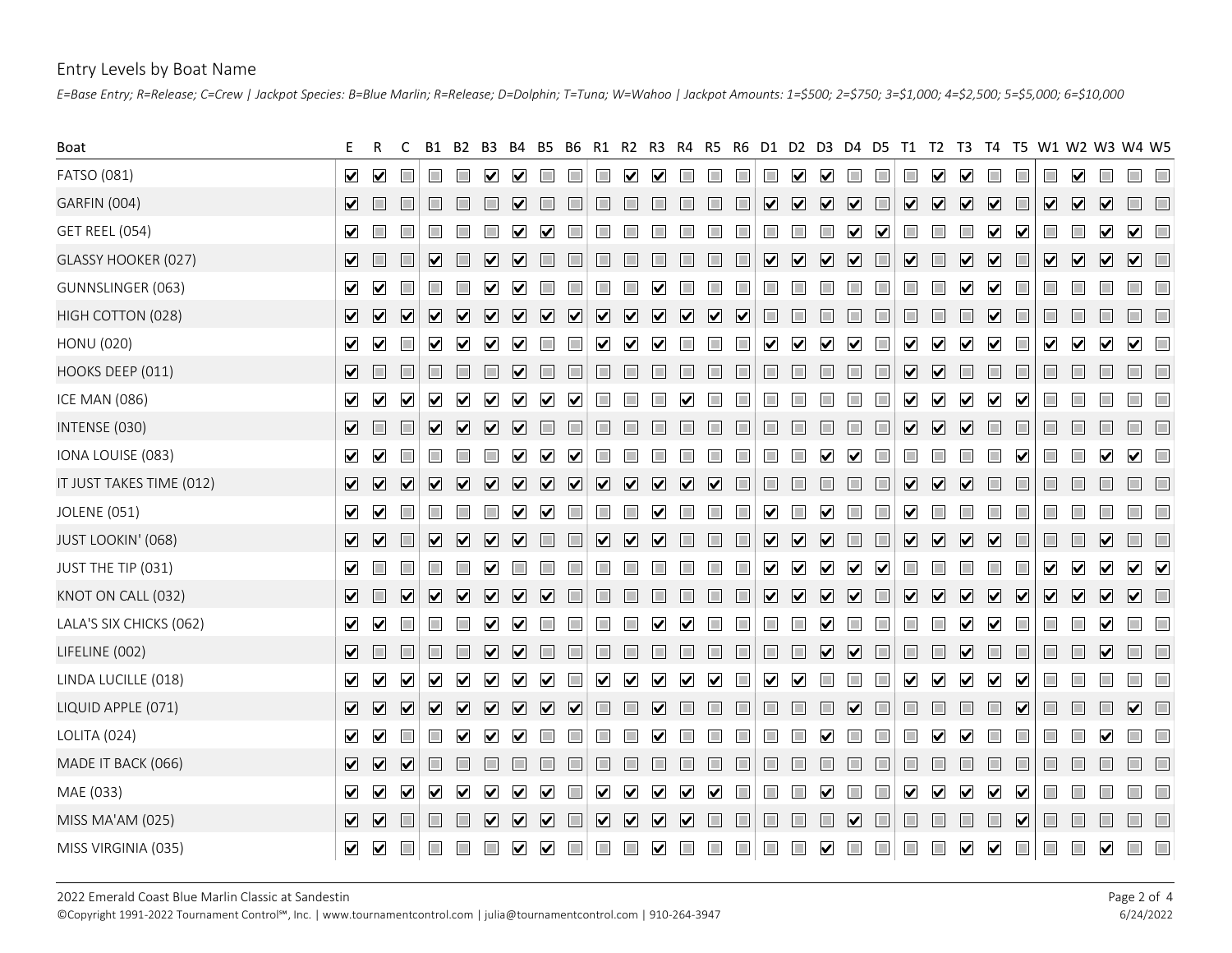### Entry Levels by Boat Name

| Entry Levels by Boat Name<br>E=Base Entry; R=Release; C=Crew   Jackpot Species: B=Blue Marlin; R=Release; D=Dolphin; T=Tuna; W=Wahoo   Jackpot Amounts: 1=\$500; 2=\$750; 3=\$1,000; 4=\$2,500; 5=\$5,000; 6=\$10,000 |                                                                                    |                                                                                                    |                                                                                                          |                                                                                                          |                                                                                                       |                                                                                                   |                                                                                |                                              |
|-----------------------------------------------------------------------------------------------------------------------------------------------------------------------------------------------------------------------|------------------------------------------------------------------------------------|----------------------------------------------------------------------------------------------------|----------------------------------------------------------------------------------------------------------|----------------------------------------------------------------------------------------------------------|-------------------------------------------------------------------------------------------------------|---------------------------------------------------------------------------------------------------|--------------------------------------------------------------------------------|----------------------------------------------|
|                                                                                                                                                                                                                       |                                                                                    |                                                                                                    |                                                                                                          |                                                                                                          |                                                                                                       |                                                                                                   |                                                                                |                                              |
| Boat                                                                                                                                                                                                                  |                                                                                    |                                                                                                    |                                                                                                          | - R4<br>-R5<br>R6.                                                                                       | D1.<br>D2.<br>D3<br>D4.                                                                               | D5.<br>- T1 -<br>T <sub>2</sub><br>T3                                                             | T5 W1 W2 W3 W4 W5<br>T4                                                        |                                              |
| FATSO (081)                                                                                                                                                                                                           | $\blacktriangledown$ $\blacktriangledown$<br>$\Box$                                | $\mathbf{v}$                                                                                       |                                                                                                          |                                                                                                          | П<br>$\blacktriangledown$<br>$\triangledown$                                                          | $\Box$<br>$\blacktriangledown$<br>$\triangledown$<br>П                                            | $\triangledown$<br>$\Box$<br>$\Box$                                            |                                              |
| <b>GARFIN (004)</b>                                                                                                                                                                                                   | ▽□<br>$\Box$                                                                       | M                                                                                                  |                                                                                                          | $\Box$                                                                                                   | ☑<br>$\triangledown$<br>$\blacktriangledown$<br>$\triangledown$                                       | $\overline{\mathbf{v}}$<br>$\boxed{\mathbf{v}}$<br>$\boxed{\mathbf{v}}$<br>$\Box$                 | VVVII<br>$\boxed{\mathbf{v}}$                                                  |                                              |
| <b>GET REEL (054)</b>                                                                                                                                                                                                 | ⊻                                                                                  |                                                                                                    |                                                                                                          |                                                                                                          |                                                                                                       | $\blacktriangledown$<br>ш<br>M                                                                    | $\Box$<br>$\blacktriangledown$<br>$\vert\mathbf{v}\vert$                       | $\blacktriangledown$<br>$\blacktriangledown$ |
| GLASSY HOOKER (027)                                                                                                                                                                                                   | ✔ □<br>$\Box$<br>$\vert \mathbf{v} \vert$                                          | $\vert \mathbf{v} \vert$                                                                           | H                                                                                                        | I                                                                                                        | $\blacktriangledown$<br>$\triangledown$<br>☑<br>$\triangledown$                                       | ☑<br>$\overline{\mathbf{v}}$<br>$\Box$<br>$\Box$                                                  | ☑<br>$\overline{\mathbf{v}}$<br>$\overline{\mathbf{v}}$                        | V V O                                        |
| GUNNSLINGER (063)                                                                                                                                                                                                     | $\blacktriangledown$ $\blacktriangledown$<br>$\Box$                                |                                                                                                    |                                                                                                          |                                                                                                          |                                                                                                       |                                                                                                   | $\vert\mathbf{v}\vert$<br>$\Box$                                               |                                              |
| HIGH COTTON (028)                                                                                                                                                                                                     | $\boxed{\blacktriangledown}$<br>$\overline{\mathbf{v}}$<br>$\overline{\mathbf{v}}$ | $\overline{\mathbf{v}}$<br>$\overline{\mathbf{v}}$<br>$\overline{\mathbf{v}}$                      | $\boxed{\mathbf{v}}$<br>$\overline{\mathbf{v}}$<br>$\overline{\mathbf{v}}$<br>$\boxed{\mathbf{v}}$       | $\overline{\mathbf{v}}$<br>$\overline{\mathbf{v}}$<br>$\overline{\mathbf{v}}$<br>$\overline{\mathbf{v}}$ | $\Box$<br>$\Box$<br><b>In</b>                                                                         | $\Box$<br>$\Box$<br>I                                                                             | $\overline{\mathbf{v}}$<br>$\Box$                                              | $\Box$                                       |
| HONU (020)                                                                                                                                                                                                            | $\blacktriangledown$<br>ш<br>$\blacktriangledown$                                  | $\vert\mathbf{v}\vert$<br>$\mathbf v$                                                              | M                                                                                                        |                                                                                                          | M                                                                                                     | $\vert \mathbf{v} \vert$<br>M<br>$\vert \mathbf{v} \vert$<br>$\vert\mathbf{v}\vert$               | $\blacktriangledown$<br>$\vert \mathbf{v} \vert$<br>⊻<br>$\blacktriangledown$  | $\blacktriangledown$                         |
| HOOKS DEEP (011)                                                                                                                                                                                                      | ✔ □<br>$\Box$                                                                      | n<br>$\vert \mathbf{v} \vert$                                                                      | T<br>П<br>H                                                                                              |                                                                                                          | H                                                                                                     | $\overline{\mathbf{v}}$<br>$\Box$<br>I<br>$\vert \mathbf{v} \vert$                                | $\Box$                                                                         | $\Box$                                       |
| <b>ICE MAN (086)</b>                                                                                                                                                                                                  | V V<br>$\blacktriangledown$<br>$\blacktriangledown$                                | $\boxed{\blacktriangledown}$<br>$\blacktriangledown$<br>$\vert \mathbf{v} \vert$                   | $\vert\bm{\mathsf{v}}\vert$<br>⋈                                                                         |                                                                                                          |                                                                                                       | $\blacktriangledown$<br>$\vert \mathbf{v} \vert$<br>$\blacktriangledown$                          | $\vert\bm{\mathsf{v}}\vert$<br>$\vert\mathbf{v}\vert$                          |                                              |
| INTENSE (030)                                                                                                                                                                                                         | Ⅴ□<br>$\Box$<br>$\overline{\mathbf{v}}$                                            | $\boxed{\mathbf{v}}$<br>⊻<br>⊻                                                                     | $\Box$                                                                                                   |                                                                                                          | $\Box$                                                                                                | ☑<br>$\boxed{\mathbf{v}}$<br>$\Box$<br>$\overline{\mathbf{v}}$                                    | $\Box$<br>$\Box$                                                               |                                              |
| IONA LOUISE (083)                                                                                                                                                                                                     |                                                                                    |                                                                                                    |                                                                                                          |                                                                                                          |                                                                                                       |                                                                                                   | Z Z O O O O O Z Z Z O O O O O O O O Z Z O O O O O O Z O O O Z                  |                                              |
| IT JUST TAKES TIME (012)                                                                                                                                                                                              | V V V                                                                              | VVVV                                                                                               | $\overline{\mathbf{v}}$<br>$\overline{\mathbf{v}}$<br>$\overline{\mathbf{v}}$<br>$\overline{\mathbf{v}}$ | $\overline{\mathbf{v}}$<br>$\overline{\mathbf{v}}$<br>☑<br>$\Box$                                        | $\Box$                                                                                                | $\overline{\mathbf{v}}$<br>$\overline{\mathbf{v}}$<br>$\boxed{\mathbf{v}}$<br>$\Box$              | $\Box$                                                                         | $\Box$                                       |
| JOLENE (051)                                                                                                                                                                                                          | $\vee$ $\vee$<br>$\Box$<br>口                                                       | m<br>m<br>$\overline{\mathbf{v}}$<br>$\blacktriangledown$                                          | $\Box$<br>П<br>$\Box$                                                                                    | $\Box$<br>$\Box$<br>$\vert\mathbf{v}\vert$<br>H                                                          | $\blacktriangledown$<br>⊻                                                                             | $\triangledown$<br>IШ<br>l T                                                                      | H                                                                              |                                              |
| JUST LOOKIN' (068)                                                                                                                                                                                                    | $\boxed{\mathbf{v}}$<br>$\Box$<br>$\overline{\mathbf{v}}$                          | $\boxed{\mathbf{v}}$<br>$\overline{\mathbf{v}}$<br>$\overline{\mathbf{v}}$                         | $\overline{\mathbf{v}}$<br>$\Box$<br>$\overline{\mathbf{v}}$                                             | $\Box$<br>$\Box$<br>$\vert \mathbf{v} \vert$                                                             | $\overline{\mathbf{v}}$<br>$\overline{\mathbf{v}}$<br>$\overline{\mathbf{v}}$                         | $\overline{\mathbf{v}}$<br>$\overline{\mathbf{v}}$<br>$\overline{\mathbf{v}}$<br>$\Box$<br>$\Box$ | $\overline{\mathbf{v}}$<br>$\Box$<br>$\Box$<br>$\overline{\mathbf{v}}$         | $\Box$<br>$\Box$                             |
| JUST THE TIP (031)                                                                                                                                                                                                    | $\blacksquare$<br>$\Box$<br>П                                                      | П<br>M                                                                                             | $\Box$<br>$\Box$<br>H                                                                                    | $\Box$                                                                                                   | $\blacktriangledown$<br>$\blacktriangledown$<br>☑                                                     | $\overline{\mathbf{v}}$<br>$\triangledown$<br>$\Box$<br><b>The State</b><br>П                     | $\blacktriangledown$<br>$\Box$<br>$\blacktriangledown$<br>$\blacktriangledown$ | $\checkmark$                                 |
| KNOT ON CALL (032)                                                                                                                                                                                                    |                                                                                    | $\begin{array}{c} \nabla \end{array}$<br>☑<br>$\boxed{\mathbf{v}}$<br>$\overline{\mathbf{v}}$      | $\Box$<br>$\Box$                                                                                         | $\Box$<br>$\Box$                                                                                         | $\overline{\mathbf{v}}$<br>$\boxed{\mathbf{v}}$<br>$\overline{\mathbf{v}}$<br>$\overline{\mathbf{v}}$ | $\sqrt{ }$<br>$\sum$<br>$\Box$                                                                    | VVVVI<br>$\overline{\mathbf{v}}$<br>$\boxed{\mathbf{v}}$                       |                                              |
| LALA'S SIX CHICKS (062)                                                                                                                                                                                               | $\vee$<br>$\Box$<br>$\Box$                                                         | $\Box$<br>$\triangledown$<br>$\triangledown$                                                       | $\Box$<br>П<br>$\Box$                                                                                    | $\blacktriangledown$<br>$\vert\mathbf{v}\vert$                                                           | $\Box$<br>☑<br><b>In</b>                                                                              | $\Box$<br>П<br>☑                                                                                  | $\blacktriangledown$<br>$\Box$<br>$\blacktriangledown$                         | $\Box$                                       |
| LIFELINE (002)                                                                                                                                                                                                        | $\blacksquare$<br>$\Box$<br>$\Box$                                                 | $\Box$<br>$\vert \mathbf{v} \vert$<br>$\vert \mathbf{v} \vert$                                     | $\Box$                                                                                                   |                                                                                                          | $\Box$<br>☑<br>$\overline{\mathbf{v}}$<br>H                                                           | $\Box$<br>$\overline{\mathbf{v}}$<br>$\Box$<br>$\Box$                                             | $\Box$<br>$\overline{\mathbf{v}}$<br>$\Box$                                    | $\Box$<br>$\Box$                             |
| LINDA LUCILLE (018)                                                                                                                                                                                                   | $\vee$ $\vee$<br>$\overline{\mathbf{v}}$<br>$\blacktriangledown$                   | $\blacktriangledown$<br>$\blacktriangledown$<br>$\overline{\mathbf{v}}$<br>$\blacktriangledown$    | $\blacktriangledown$<br>$\blacktriangledown$                                                             | $\blacktriangledown$<br>$\blacktriangledown$<br>⊻<br>$\Box$                                              | $\blacktriangledown$<br>$\blacktriangledown$<br>$\Box$                                                | $\overline{\mathbf{v}}$<br>$\blacktriangledown$<br>$\Box$<br>☑                                    | $\blacktriangledown$<br>$\blacktriangledown$<br>$\Box$                         | $\Box$                                       |
| LIQUID APPLE (071)                                                                                                                                                                                                    | V V V                                                                              | $\boxed{\mathbf{v}}$<br>$\overline{\mathbf{v}}$<br>$\overline{\mathbf{v}}$<br>$\boxed{\mathbf{v}}$ | $\triangledown$<br>П<br>П                                                                                | $\blacktriangledown$                                                                                     | П                                                                                                     | П<br>$\vert \mathbf{v} \vert$<br>I                                                                | $\Box$<br>$\Box$<br>$\vert\mathbf{v}\vert$                                     | $\overline{\mathbf{v}}$<br>$\Box$            |
| LOLITA (024)                                                                                                                                                                                                          | $\vee$<br>$\Box$<br>П                                                              | ☑<br>$\overline{\mathbf{v}}$<br>$\triangledown$                                                    | $\Box$<br>$\Box$<br><b>COL</b>                                                                           | $\boldsymbol{\mathsf{v}}$                                                                                | П<br>V                                                                                                | П<br>IШ<br>$\vert \mathbf{v} \vert$<br>⊻                                                          | $\Box$<br>$\blacktriangledown$                                                 | $\Box$<br>$\blacksquare$                     |
| MADE IT BACK (066)                                                                                                                                                                                                    | V V V<br>$\Box$                                                                    | m                                                                                                  |                                                                                                          | I                                                                                                        | П                                                                                                     | П<br>$\Box$<br>H                                                                                  | $\Box$                                                                         |                                              |
| MAE (033)                                                                                                                                                                                                             | $\blacktriangledown$<br>$\vee$ $\vee$<br>$\blacktriangledown$                      | $\blacktriangledown$<br>$\triangledown$<br>$\overline{\mathbf{v}}$<br>$\blacktriangledown$         | $\blacktriangledown$<br>$\Box$<br>$\blacktriangledown$                                                   | $\blacktriangledown$<br>$\blacktriangledown$<br>⊻<br>$\Box$                                              | $\Box$<br>$\overline{\phantom{a}}$<br>$\blacktriangledown$                                            | ☑<br>$\Box$<br>☑<br>$\blacktriangledown$<br>$\Box$                                                | $\blacktriangledown$<br>$\blacktriangledown$<br>$\Box$<br>H                    | $\Box$<br>$\Box$                             |
| MISS MA'AM (025)                                                                                                                                                                                                      | <b>V V I</b><br>$\Box$                                                             | $\Box$<br>VVV                                                                                      | $\begin{array}{c} \hline \textbf{V} & \textbf{V} & \textbf{V} \end{array}$<br>$\Box$                     | $\Box$<br>$\Box$                                                                                         | $\Box$<br>$\Box$<br>$\boxed{\mathbf{v}}$<br>$\Box$                                                    | $\Box$<br>$\qquad \qquad \Box$<br>$\Box$<br>$\Box$                                                | $\Box$<br>$\Box$<br>$\Box$<br>$\Box$<br>☑                                      | $\Box$<br>$\Box$                             |
| MISS VIRGINIA (035)                                                                                                                                                                                                   | V V II II                                                                          | $\Box$                                                                                             |                                                                                                          |                                                                                                          | $\Box$ $\Box$<br>$\Box$<br>$\blacktriangledown$                                                       | $\Box$<br>$\Box$<br>$\vee$<br>$\blacksquare$<br>$\Box$                                            | $\Box$ $\Box$<br>$\Box$                                                        | $\checkmark$ $\Box$ $\Box$                   |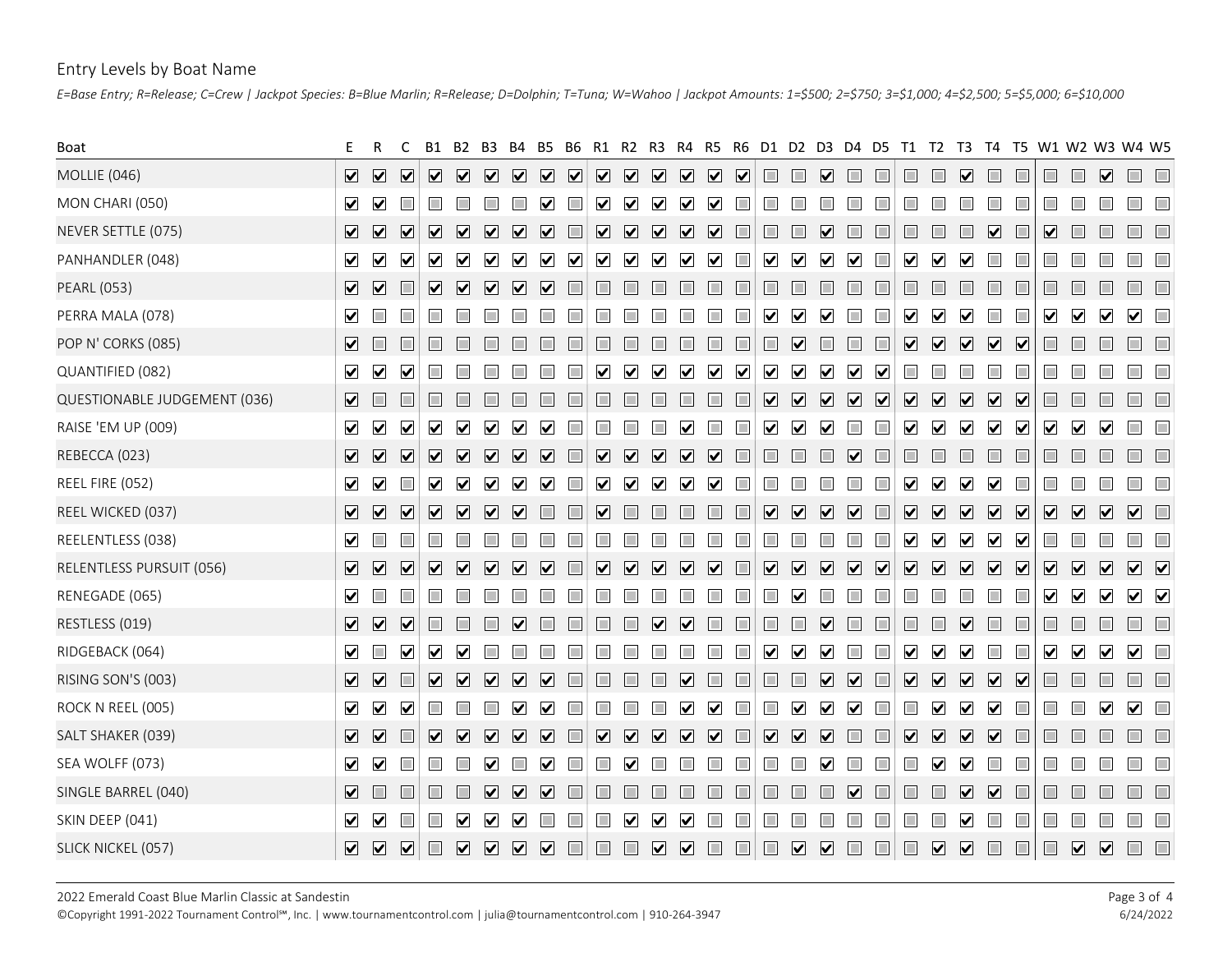### Entry Levels by Boat Name

|                              | E=Base Entry; R=Release; C=Crew   Jackpot Species: B=Blue Marlin; R=Release; D=Dolphin; T=Tuna; W=Wahoo   Jackpot Amounts: 1=\$500; 2=\$750; 3=\$1,000; 4=\$2,500; 5=\$5,000; 6=\$10,000                                                                                                                                                                                                                                                                                                                                                                                         |                                                                                  |
|------------------------------|----------------------------------------------------------------------------------------------------------------------------------------------------------------------------------------------------------------------------------------------------------------------------------------------------------------------------------------------------------------------------------------------------------------------------------------------------------------------------------------------------------------------------------------------------------------------------------|----------------------------------------------------------------------------------|
| Boat                         | T5<br>R4<br>R5.<br>R6.<br>D1.<br>D2 D3<br>D4<br>D5.<br>T1.<br>T <sub>2</sub><br>T3 T4<br>R1.                                                                                                                                                                                                                                                                                                                                                                                                                                                                                     | W1 W2 W3 W4 W5                                                                   |
| MOLLIE (046)                 | V V V<br>$\boxed{\mathbf{v}}$<br>$\begin{array}{c} \nabla \end{array}$<br>$\boxed{\text{V}}$<br>$\overline{\mathbf{v}}$<br>$\triangledown$ $\triangledown$<br>$\overline{\mathbf{v}}$<br>$\overline{\mathbf{v}}$<br>$\overline{\mathbf{v}}$<br>$\Box$<br>П<br>$\Box$<br>$\Box$<br>$\Box$<br>☑<br>$\Box$<br>$\Box$<br>☑                                                                                                                                                                                                                                                           | $\overline{\mathbf{v}}$                                                          |
| MON CHARI (050)              | $\overline{\mathbf{v}}$<br>∨ ∨<br>$\Box$<br>$\Box$<br>☑<br>$\overline{\phantom{a}}$<br>$\blacktriangledown$<br>$\blacktriangledown$<br>$\blacktriangledown$<br>$\blacktriangledown$<br>$\overline{\phantom{a}}$<br>T.<br>П<br>II.                                                                                                                                                                                                                                                                                                                                                |                                                                                  |
| NEVER SETTLE (075)           | $\overline{\mathbf{V}}$ $\overline{\mathbf{V}}$<br>$\blacktriangledown$<br>☑<br>$\overline{\mathbf{v}}$<br>$\overline{\mathbf{v}}$<br>$\overline{\mathbf{v}}$<br>$\blacktriangledown$<br>n<br>$\overline{\mathbf{v}}$<br>$\vert \mathbf{v} \vert$<br>$\vert \mathbf{v} \vert$<br>$\vert \mathbf{v} \vert$<br>$\vert \mathbf{v} \vert$<br>$\vert \mathbf{v} \vert$<br>M                                                                                                                                                                                                           |                                                                                  |
| PANHANDLER (048)             | $\blacktriangledown$<br>$\overline{\mathbf{v}}$<br>$\triangledown$<br>☑<br>$\blacktriangledown$<br>$\blacktriangledown$<br>$\triangledown$<br>$\blacktriangledown$<br>$\blacktriangledown$<br>$\blacktriangledown$<br>$\overline{\mathbf{v}}$<br>$\blacktriangledown$<br>$\Box$<br>$\blacktriangledown$<br>$\triangledown$<br>$\Box$<br>$\blacktriangledown$<br>$\triangledown$<br>H<br>$\blacktriangledown$<br>$\blacktriangledown$<br>$\blacktriangledown$<br>$\vert \mathbf{v} \vert$                                                                                         |                                                                                  |
| <b>PEARL (053)</b>           | $\boxed{\mathbf{v}}$<br>$\Box$<br>H<br>$\blacktriangledown$<br>$\vert \mathbf{v} \vert$<br>$\mathbf{v}$<br>$\vert \mathbf{v} \vert$<br>H                                                                                                                                                                                                                                                                                                                                                                                                                                         |                                                                                  |
| PERRA MALA (078)             | $\blacktriangledown$<br>$\Box$<br>$\triangledown$<br>$\blacktriangledown$<br>Ⅴ<br>☑<br>$\blacktriangledown$<br>$\Box$<br>H<br>H<br>$\Box$<br>M<br>$\blacktriangledown$<br>$\blacktriangledown$                                                                                                                                                                                                                                                                                                                                                                                   | $\vee$ $\vee$<br>$\Box$                                                          |
| POP N' CORKS (085)           | $\overline{\mathbf{v}}$<br>$\Box$<br>$\Box$<br>$\overline{\mathbf{v}}$<br>$\overline{\mathbf{v}}$<br>$\boxed{\mathbf{v}}$<br>$\boxed{\mathbf{v}}$<br>Ⅴ□<br>$\blacktriangledown$                                                                                                                                                                                                                                                                                                                                                                                                  | <b>The Second Second</b>                                                         |
| QUANTIFIED (082)             | 7 2<br>$\blacktriangledown$<br>$\blacktriangledown$<br>$\blacktriangledown$<br>$\Box$<br>$\blacktriangledown$<br>$\blacktriangledown$<br>$\blacktriangledown$<br>$\overline{\mathbf{v}}$<br>H<br>M<br>M<br>$\overline{\mathsf{v}}$<br>$\bar{\mathbf{V}}$<br>$\mathbf{v}$                                                                                                                                                                                                                                                                                                         |                                                                                  |
| QUESTIONABLE JUDGEMENT (036) | $\overline{\mathbf{v}}$<br>☑<br>$\boxed{\mathbf{v}}$<br>$\boxed{\mathbf{v}}$<br>☑<br>☑<br>$\boxed{\blacktriangledown}$<br>$\Box$<br>☑ □<br>H<br>$\blacktriangledown$<br>$\blacktriangledown$<br>☑                                                                                                                                                                                                                                                                                                                                                                                |                                                                                  |
| RAISE 'EM UP (009)           | $\Box$<br>$\Box$<br>$\blacktriangledown$<br>$\blacktriangledown$<br>$\blacktriangledown$<br>$\blacktriangledown$<br>$\blacktriangledown$<br>7 2<br>☑<br>$\blacktriangledown$<br>$\blacktriangledown$<br>$\triangledown$<br>☑<br>$\vert\blacktriangledown\vert$<br>$\mathbf{v}$<br>$\vert \mathbf{v} \vert$<br>$\vert\mathbf{v}\vert$<br>$\blacktriangleright$<br>$\blacktriangledown$                                                                                                                                                                                            | $\vee$ $\vee$<br>$\Box$                                                          |
| REBECCA (023)                |                                                                                                                                                                                                                                                                                                                                                                                                                                                                                                                                                                                  |                                                                                  |
| REEL FIRE (052)              | $\vee$<br>$\blacktriangledown$<br>☑<br>$\overline{\mathbf{v}}$<br>$\overline{\mathbf{v}}$<br>$\blacktriangledown$<br>$\overline{\mathbf{v}}$<br>$\blacktriangledown$<br>$\Box$<br>$\overline{\mathbf{v}}$<br>$\overline{\mathbf{v}}$<br>$\blacktriangledown$<br>$\overline{\mathbf{v}}$<br>☑<br>☑<br>П                                                                                                                                                                                                                                                                           |                                                                                  |
| REEL WICKED (037)            | $\sqrt{ }$<br>$\overline{\mathbf{v}}$<br>VVV<br>$\overline{\mathbf{v}}$<br>$\Box$<br>$\overline{\mathbf{v}}$<br>$\boxed{\blacktriangledown}$<br>$\overline{\mathbf{v}}$<br>$\overline{\mathbf{v}}$<br>$\Box$<br>☑<br>$\Box$<br>$\overline{\mathbf{v}}$<br>$\overline{\mathbf{v}}$<br>$\overline{\mathbf{v}}$<br>$\boxed{\mathbf{v}}$<br>$\Box$<br>$\Box$<br>$\Box$<br>$\Box$<br>IЦ                                                                                                                                                                                               | VVVVI                                                                            |
| REELENTLESS (038)            | $\blacktriangledown$ $\Box$<br>$\blacktriangledown$<br>$\Box$<br>$\Box$<br>$\Box$<br>$\Box$<br>$\overline{\mathbf{v}}$<br>$\blacktriangledown$<br>☑<br>$\blacktriangledown$                                                                                                                                                                                                                                                                                                                                                                                                      | $\Box$                                                                           |
| RELENTLESS PURSUIT (056)     | $\sqrt{ }$<br>VVV<br>$\overline{\mathbf{v}}$<br>$\overline{\mathbf{v}}$<br>$\boxed{\blacktriangledown} \quad \boxed{\blacktriangledown}$<br>$\overline{\mathbf{v}}$<br>$\sqrt{ }$<br>$\overline{\mathbf{v}}$<br>$\boxed{\mathbf{v}}$<br>$\overline{\mathbf{v}}$<br>$\boxed{\mathbf{v}}$<br>$\boxed{\mathbf{v}}$<br>$\overline{\mathbf{v}}$<br>$\overline{\mathbf{v}}$<br>$\overline{\mathbf{v}}$<br>$\Box$<br>$\overline{\mathbf{v}}$<br>$\overline{\mathbf{v}}$<br>$\boxed{\mathbf{v}}$<br>$\boxed{\mathbf{v}}$<br>$\overline{\mathbf{v}}$<br>$\Box$<br>$\overline{\mathbf{v}}$ | $\begin{array}{c c c c} \hline \textbf{V} & \textbf{V} & \textbf{V} \end{array}$ |
| RENEGADE (065)               | $\blacktriangledown$ $\Box$<br>$\Box$<br>$\Box$<br>$\overline{\mathbf{v}}$<br>$\blacktriangledown$<br>H<br>$\blacktriangledown$                                                                                                                                                                                                                                                                                                                                                                                                                                                  | $\vee$ $\vee$<br>$\blacktriangledown$                                            |
| RESTLESS (019)               | VVV<br>$\Box$<br>$\Box$<br>$\overline{\mathbf{v}}$<br>$\Box$<br>$\Box$<br>☑<br>$\Box$<br>$\Box$<br>$\overline{\mathbf{v}}$<br>$\Box$<br>$\Box$<br>$\overline{\mathbf{v}}$<br>$\Box$<br>$\Box$<br>$\Box$<br>$\Box$<br>Ħ<br>$\vert \mathbf{v} \vert$                                                                                                                                                                                                                                                                                                                               | $\Box$<br>$\Box$                                                                 |
| RIDGEBACK (064)              | $\blacktriangledown$ $\Box$<br>$\overline{\mathbf{v}}$<br>$\overline{\mathbf{v}}$<br>☑<br>$\blacktriangledown$<br>$\overline{\mathbf{v}}$<br>$\blacktriangledown$<br>☑<br>$\vert\bm{\mathsf{v}}\vert$<br>⋈<br>⋈                                                                                                                                                                                                                                                                                                                                                                  | $\blacktriangledown$<br>$\blacktriangledown$<br>$\hfill \square$                 |
| RISING SON'S (003)           | $\boxed{\mathbf{v}}$<br>$\overline{\mathbf{v}}$<br>$\overline{\mathbf{v}}$<br>$\overline{\mathbf{v}}$<br>$\overline{\mathbf{v}}$<br>$\Box$<br>$\Box$<br>$\overline{\mathbf{v}}$<br>$\overline{\mathbf{v}}$<br>☑<br>$\overline{\mathbf{v}}$<br>$\Box$<br>$\Box$<br>$\overline{\mathbf{v}}$<br>$\overline{\mathbf{v}}$<br>☑<br>☑<br>$\Box$<br>$\Box$<br>$\overline{\mathbf{v}}$<br>L                                                                                                                                                                                               | $\Box$<br>$\Box$<br>$\Box$                                                       |
| ROCK N REEL (005)            | $\begin{array}{c} \nabla \quad \nabla \quad \nabla \quad \nabla \end{array}$<br>$\Box$<br>$\Box$<br>☑<br>☑<br>☑<br>$\triangledown$<br>M<br>$\vert\mathbf{v}\vert$<br>$\blacktriangleright$<br>⊻<br>L<br>M                                                                                                                                                                                                                                                                                                                                                                        | $\blacktriangledown$<br>$\overline{\mathbf{v}}$                                  |
| SALT SHAKER (039)            | $\overline{\mathbf{v}}$<br>$\sqrt{ }$<br>$\Box$<br>$\overline{\mathbf{v}}$<br>$\overline{\mathbf{v}}$<br>$\overline{\mathbf{v}}$<br>$\overline{\mathbf{v}}$<br>$\overline{\mathbf{v}}$<br>$\overline{\mathbf{v}}$<br>$\overline{\mathbf{v}}$<br>$\overline{\mathbf{v}}$<br>$\Box$<br>$\overline{\mathbf{v}}$<br>$\overline{\mathbf{v}}$<br>$\overline{\mathbf{v}}$<br>□.<br>$\Box$<br>$\overline{\mathbf{v}}$<br>$\overline{\mathbf{v}}$<br>$\overline{\mathbf{v}}$<br>$\Box$<br>$ \mathbf{v} $<br>$\Box$<br>$\overline{\mathbf{v}}$                                             | $\Box$<br>$\Box$<br>$\Box$                                                       |
| SEA WOLFF (073)              | $\checkmark$<br>$\Box$<br>$\Box$<br>$\Box$<br>M<br>⊻<br>L<br>$\vert \mathbf{v} \vert$<br>$\vert \mathbf{v} \vert$<br>$\blacktriangledown$                                                                                                                                                                                                                                                                                                                                                                                                                                        |                                                                                  |
| SINGLE BARREL (040)          | $\Box$<br>$\blacksquare$<br>$\Box$<br>☑<br>$\overline{\mathbf{v}}$<br>$\Box$<br>$\Box$<br>$\overline{\mathbf{v}}$<br>$\overline{\mathbf{v}}$<br>$\Box$<br>$\Box$<br>П<br>$\overline{\mathbf{v}}$<br>$\overline{\mathbf{v}}$<br>П<br>П<br>m.<br>$\Box$<br>$\Box$<br>$\Box$<br>$\Box$<br>$\Box$<br>$\overline{\phantom{a}}$                                                                                                                                                                                                                                                        | $\Box$<br>$\Box$<br>$\Box$                                                       |
| SKIN DEEP (041)              | $\vee$ $\vee$<br>$\Box$<br>$\Box$<br>$\Box$<br>IЦ<br>☑<br>$\vert \mathbf{v} \vert$<br>$\mathbf{v}$<br>$\Box$<br>$\mathcal{L}_{\mathcal{A}}$<br>L.<br>$\Box$<br>⊻<br>$\Box$<br>$\vert\mathbf{v}\vert$<br>$\Box$<br>$\mathbf{v}$<br>$\blacktriangledown$                                                                                                                                                                                                                                                                                                                           | $\Box$<br>$\Box$<br>$\Box$                                                       |
| SLICK NICKEL (057)           | V V V I V V V I I                                                                                                                                                                                                                                                                                                                                                                                                                                                                                                                                                                |                                                                                  |
|                              |                                                                                                                                                                                                                                                                                                                                                                                                                                                                                                                                                                                  |                                                                                  |